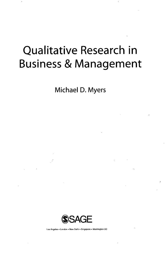## Qualitative Research in Business & Management

**Michael D. Myers**



Los Angeles • London • New Delhi • Singapore • Washington DC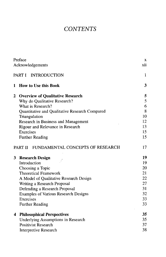## *CONTENTS*

|                     | Preface                                        | X   |
|---------------------|------------------------------------------------|-----|
|                     | Acknowledgements                               | xii |
| PART I INTRODUCTION |                                                |     |
| 1                   | <b>How to Use this Book</b>                    | 3   |
| 2                   | <b>Overview of Qualitative Research</b>        | 5   |
|                     | Why do Qualitative Research?                   | 5   |
|                     | What is Research?                              | 6   |
|                     | Quantitative and Qualitative Research Compared | 8   |
|                     | Triangulation                                  | 10  |
|                     | Research in Business and Management            | 12  |
|                     | Rigour and Relevance in Research               | 13  |
|                     | Exercises                                      | 15  |
|                     | <b>Further Reading</b>                         | 15  |
|                     | PART II<br>FUNDAMENTAL CONCEPTS OF RESEARCH    | 17  |
| 3                   | <b>Research Design</b>                         | 19  |
|                     | Introduction                                   | 19  |
|                     | Choosing a Topic                               | 20  |
|                     | <b>Theoretical Framework</b>                   | 21  |
|                     | A Model of Qualitative Research Design         | 22  |
|                     | Writing a Research Proposal                    | 27  |
|                     | Defending a Research Proposal                  | 31  |
|                     | <b>Examples of Various Research Designs</b>    | 32  |
|                     | Exercises                                      | 33  |
|                     | <b>Further Reading</b>                         | 33  |
| 4                   | <b>Philosophical Perspectives</b>              | 35  |
|                     | <b>Underlying Assumptions in Research</b>      | 35  |
|                     | <b>Positivist Research</b>                     | 37  |
|                     | <b>Interpretive Research</b>                   | 38  |
|                     |                                                |     |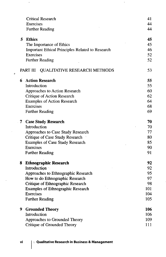|   | <b>Critical Research</b>                                | 41  |
|---|---------------------------------------------------------|-----|
|   | Exercises                                               | 44  |
|   | <b>Further Reading</b>                                  | 44  |
| 5 | <b>Ethics</b>                                           | 45  |
|   | The Importance of Ethics                                | 45  |
|   | <b>Important Ethical Principles Related to Research</b> | 46  |
|   | Exercises                                               | 52  |
|   | <b>Further Reading</b>                                  | 52  |
|   | <b>QUALITATIVE RESEARCH METHODS</b><br>PART III         | 53  |
| 6 | <b>Action Research</b>                                  | 55  |
|   | Introduction                                            | 55  |
|   | Approaches to Action Research                           | 60  |
|   | <b>Critique of Action Research</b>                      | 62  |
|   | <b>Examples of Action Research</b>                      | 64  |
|   | Exercises                                               | 68  |
|   | <b>Further Reading</b>                                  | 69  |
| 7 | <b>Case Study Research</b>                              | 70  |
|   | Introduction                                            | 70  |
|   | Approaches to Case Study Research                       | 77  |
|   | Critique of Case Study Research                         | 80  |
|   | <b>Examples of Case Study Research</b>                  | 85  |
|   | Exercises                                               | 90  |
|   | <b>Further Reading</b>                                  | 91  |
| 8 | <b>Ethnographic Research</b>                            | 92  |
|   | Introduction                                            | 92  |
|   | Approaches to Ethnographic Research                     | 95  |
|   | How to do Ethnographic Research                         | 97  |
|   | Critique of Ethnographic Research                       | 98  |
|   | <b>Examples of Ethnographic Research</b>                | 101 |
|   | Exercises                                               | 104 |
|   | <b>Further Reading</b>                                  | 105 |
| 9 | <b>Grounded Theory</b>                                  | 106 |
|   | Introduction                                            | 106 |
|   | Approaches to Grounded Theory                           | 109 |
|   | Critique of Grounded Theory                             | 111 |

 $\ddot{\phantom{1}}$ 

 $\pmb{o}$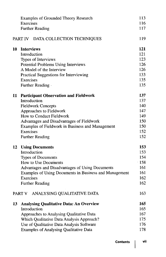|                                    | Examples of Grounded Theory Research<br>Exercises<br><b>Further Reading</b> | 113<br>116<br>117 |
|------------------------------------|-----------------------------------------------------------------------------|-------------------|
| PART IV DATA COLLECTION TECHNIQUES |                                                                             | 119               |
| 10                                 | <b>Interviews</b>                                                           | 121               |
|                                    | Introduction                                                                | 121               |
|                                    | Types of Interviews                                                         | 123               |
|                                    | Potential Problems Using Interviews                                         | 126               |
|                                    | A Model of the Interview                                                    | 126               |
|                                    | <b>Practical Suggestions for Interviewing</b>                               | 133               |
|                                    | Exercises                                                                   | 135               |
|                                    | Further Reading                                                             | 135               |
| 11                                 | <b>Participant Observation and Fieldwork</b>                                | 137               |
|                                    | Introduction                                                                | 137               |
|                                    | <b>Fieldwork Concepts</b>                                                   | 140               |
|                                    | Approaches to Fieldwork                                                     | 147               |
|                                    | How to Conduct Fieldwork                                                    | 149               |
|                                    | Advantages and Disadvantages of Fieldwork                                   | 150               |
|                                    | Examples of Fieldwork in Business and Management                            | 150               |
|                                    | Exercises                                                                   | 152<br>152        |
|                                    | <b>Further Reading</b>                                                      |                   |
| 12                                 | <b>Using Documents</b>                                                      | 153               |
|                                    | Introduction                                                                | 153               |
|                                    | <b>Types of Documents</b>                                                   | 154               |
|                                    | How to Use Documents                                                        | 158               |
|                                    | Advantages and Disadvantages of Using Documents                             | 161               |
|                                    | Examples of Using Documents in Business and Management                      | 161               |
|                                    | Exercises                                                                   | 162               |
|                                    | <b>Further Reading</b>                                                      | 162               |
|                                    | ANALYSING QUALITATIVE DATA<br>PART V                                        | 163               |
| 13                                 | <b>Analysing Qualitative Data: An Overview</b>                              | 165               |
|                                    | Introduction                                                                | 165               |
|                                    | Approaches to Analysing Qualitative Data                                    | 167               |
|                                    | Which Qualitative Data Analysis Approach?                                   | 175               |
|                                    | Use of Qualitative Data Analysis Software                                   | 176               |
|                                    | <b>Examples of Analysing Qualitative Data</b>                               | 178               |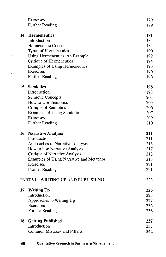|    | Exercises                                | 179 |
|----|------------------------------------------|-----|
|    | <b>Further Reading</b>                   | 179 |
|    |                                          |     |
| 14 | <b>Hermeneutics</b>                      | 181 |
|    | Introduction                             | 181 |
|    | Hermeneutic Concepts                     | 184 |
|    | Types of Hermeneutics                    | 190 |
|    | Using Hermeneutics: An Example           | 192 |
|    | Critique of Hermeneutics                 | 194 |
|    | <b>Examples of Using Hermeneutics</b>    | 195 |
|    | Exercises                                | 196 |
|    | <b>Further Reading</b>                   | 196 |
| 15 | <b>Semiotics</b>                         | 198 |
|    | Introduction                             | 198 |
|    | Semiotic Concepts                        | 201 |
|    | How to Use Semiotics                     | 205 |
|    | Critique of Semiotics                    | 206 |
|    | <b>Examples of Using Semiotics</b>       | 207 |
|    | Exercises                                | 209 |
|    | <b>Further Reading</b>                   | 210 |
| 16 | <b>Narrative Analysis</b>                | 211 |
|    | Introduction                             | 211 |
|    | Approaches to Narrative Analysis         | 213 |
|    | How to Use Narrative Analysis            | 217 |
|    | <b>Critique of Narrative Analysis</b>    | 218 |
|    | Examples of Using Narrative and Metaphor | 218 |
|    | Exercises                                | 221 |
|    | <b>Further Reading</b>                   | 221 |
|    | PART VI<br>WRITING UP AND PUBLISHING     | 223 |
| 17 | <b>Writing Up</b>                        | 225 |
|    | Introduction                             | 225 |
|    | Approaches to Writing Up                 | 227 |
|    | Exercises                                | 236 |
|    | <b>Further Reading</b>                   | 236 |
| 18 | <b>Getting Published</b>                 | 237 |
|    | Introduction                             | 237 |
|    | <b>Common Mistakes and Pitfalls</b>      | 242 |
|    |                                          |     |

 $\ddot{\phantom{a}}$ 

 $\bullet$